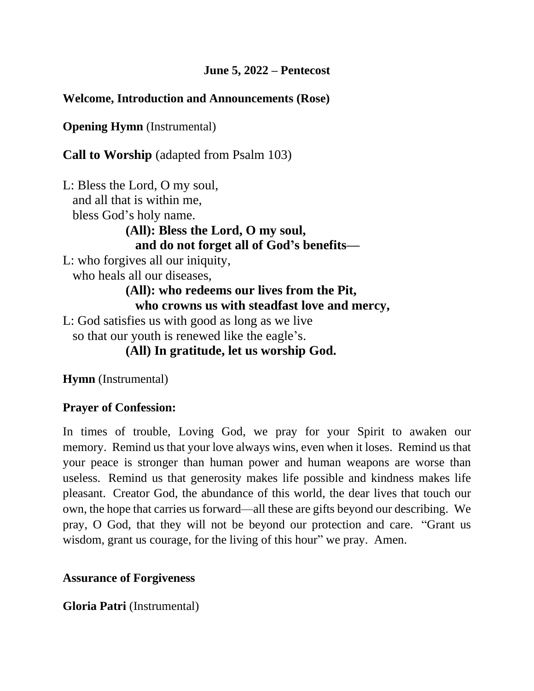## **June 5, 2022 – Pentecost**

## **Welcome, Introduction and Announcements (Rose)**

**Opening Hymn** (Instrumental)

**Call to Worship** (adapted from Psalm 103)

L: Bless the Lord, O my soul, and all that is within me, bless God's holy name. **(All): Bless the Lord, O my soul, and do not forget all of God's benefits—** L: who forgives all our iniquity, who heals all our diseases, **(All): who redeems our lives from the Pit, who crowns us with steadfast love and mercy,** L: God satisfies us with good as long as we live so that our youth is renewed like the eagle's. **(All) In gratitude, let us worship God.**

**Hymn** (Instrumental)

## **Prayer of Confession:**

In times of trouble, Loving God, we pray for your Spirit to awaken our memory. Remind us that your love always wins, even when it loses. Remind us that your peace is stronger than human power and human weapons are worse than useless. Remind us that generosity makes life possible and kindness makes life pleasant. Creator God, the abundance of this world, the dear lives that touch our own, the hope that carries us forward—all these are gifts beyond our describing. We pray, O God, that they will not be beyond our protection and care. "Grant us wisdom, grant us courage, for the living of this hour" we pray. Amen.

## **Assurance of Forgiveness**

**Gloria Patri** (Instrumental)